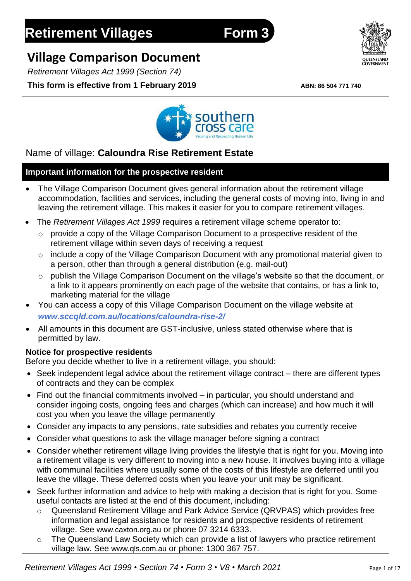# **Retirement Villages Form 3**

## **Village Comparison Document**

*Retirement Villages Act 1999 (Section 74)*

## **This form is effective from 1 February 2019 ABN: 86 504 771 740**



## Name of village: **Caloundra Rise Retirement Estate**

### **Important information for the prospective resident**

- The Village Comparison Document gives general information about the retirement village accommodation, facilities and services, including the general costs of moving into, living in and leaving the retirement village. This makes it easier for you to compare retirement villages.
- The *Retirement Villages Act 1999* requires a retirement village scheme operator to:
	- o provide a copy of the Village Comparison Document to a prospective resident of the retirement village within seven days of receiving a request
	- o include a copy of the Village Comparison Document with any promotional material given to a person, other than through a general distribution (e.g. mail-out)
	- o publish the Village Comparison Document on the village's website so that the document, or a link to it appears prominently on each page of the website that contains, or has a link to, marketing material for the village
- You can access a copy of this Village Comparison Document on the village website at *www.sccqld.com.au/locations/caloundra-rise-2/*
- All amounts in this document are GST-inclusive, unless stated otherwise where that is permitted by law.

#### **Notice for prospective residents**

Before you decide whether to live in a retirement village, you should:

- Seek independent legal advice about the retirement village contract there are different types of contracts and they can be complex
- Find out the financial commitments involved in particular, you should understand and consider ingoing costs, ongoing fees and charges (which can increase) and how much it will cost you when you leave the village permanently
- Consider any impacts to any pensions, rate subsidies and rebates you currently receive
- Consider what questions to ask the village manager before signing a contract
- Consider whether retirement village living provides the lifestyle that is right for you. Moving into a retirement village is very different to moving into a new house. It involves buying into a village with communal facilities where usually some of the costs of this lifestyle are deferred until you leave the village. These deferred costs when you leave your unit may be significant.
- Seek further information and advice to help with making a decision that is right for you. Some useful contacts are listed at the end of this document, including:
	- Queensland Retirement Village and Park Advice Service (QRVPAS) which provides free information and legal assistance for residents and prospective residents of retirement village. See [www.caxton.org.au](http://www.caxton.org.au/) or phone 07 3214 6333.
	- o The Queensland Law Society which can provide a list of lawyers who practice retirement village law. See [www.qls.com.au](http://www.qls.com.au/) or phone: 1300 367 757.

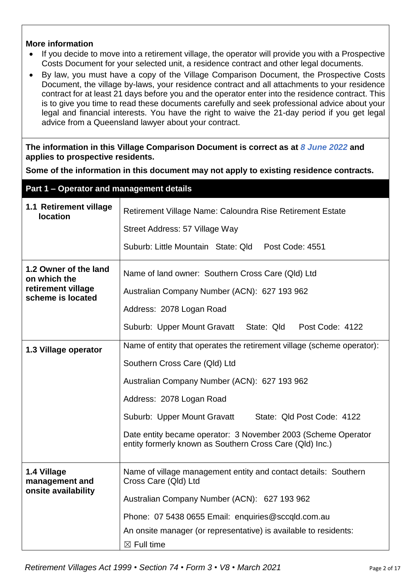#### **More information**

- If you decide to move into a retirement village, the operator will provide you with a Prospective Costs Document for your selected unit, a residence contract and other legal documents.
- By law, you must have a copy of the Village Comparison Document, the Prospective Costs Document, the village by-laws, your residence contract and all attachments to your residence contract for at least 21 days before you and the operator enter into the residence contract. This is to give you time to read these documents carefully and seek professional advice about your legal and financial interests. You have the right to waive the 21-day period if you get legal advice from a Queensland lawyer about your contract.

**The information in this Village Comparison Document is correct as at** *8 June 2022* **and applies to prospective residents.**

**Some of the information in this document may not apply to existing residence contracts.**

| Part 1 - Operator and management details                                         |                                                                                                                                                                                                                                                                                                                                                                               |  |  |
|----------------------------------------------------------------------------------|-------------------------------------------------------------------------------------------------------------------------------------------------------------------------------------------------------------------------------------------------------------------------------------------------------------------------------------------------------------------------------|--|--|
| 1.1 Retirement village<br><b>location</b>                                        | Retirement Village Name: Caloundra Rise Retirement Estate<br>Street Address: 57 Village Way<br>Suburb: Little Mountain State: Qld<br>Post Code: 4551                                                                                                                                                                                                                          |  |  |
| 1.2 Owner of the land<br>on which the<br>retirement village<br>scheme is located | Name of land owner: Southern Cross Care (QId) Ltd<br>Australian Company Number (ACN): 627 193 962<br>Address: 2078 Logan Road<br>Post Code: 4122<br>Suburb: Upper Mount Gravatt State: Qld                                                                                                                                                                                    |  |  |
| 1.3 Village operator                                                             | Name of entity that operates the retirement village (scheme operator):<br>Southern Cross Care (Qld) Ltd<br>Australian Company Number (ACN): 627 193 962<br>Address: 2078 Logan Road<br>Suburb: Upper Mount Gravatt<br>State: Qld Post Code: 4122<br>Date entity became operator: 3 November 2003 (Scheme Operator<br>entity formerly known as Southern Cross Care (QId) Inc.) |  |  |
| 1.4 Village<br>management and<br>onsite availability                             | Name of village management entity and contact details: Southern<br>Cross Care (Qld) Ltd<br>Australian Company Number (ACN): 627 193 962<br>Phone: 07 5438 0655 Email: enquiries@sccqld.com.au<br>An onsite manager (or representative) is available to residents:<br>$\boxtimes$ Full time                                                                                    |  |  |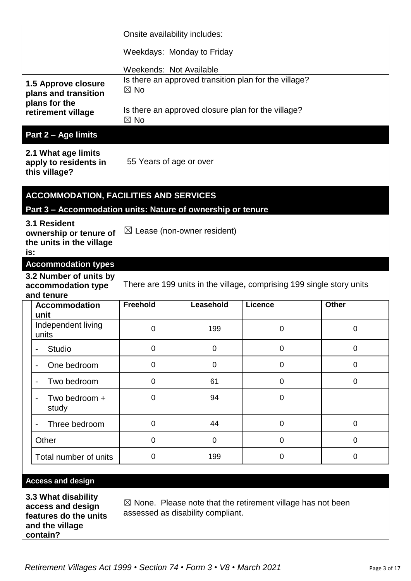|                                                                                                                  |                                                                    | Onsite availability includes:                                         |                |                                                                        |              |
|------------------------------------------------------------------------------------------------------------------|--------------------------------------------------------------------|-----------------------------------------------------------------------|----------------|------------------------------------------------------------------------|--------------|
|                                                                                                                  |                                                                    | Weekdays: Monday to Friday                                            |                |                                                                        |              |
|                                                                                                                  |                                                                    | Weekends: Not Available                                               |                |                                                                        |              |
|                                                                                                                  | 1.5 Approve closure<br>plans and transition                        | $\boxtimes$ No                                                        |                | Is there an approved transition plan for the village?                  |              |
|                                                                                                                  | plans for the<br>retirement village                                | $\boxtimes$ No                                                        |                | Is there an approved closure plan for the village?                     |              |
|                                                                                                                  | Part 2 - Age limits                                                |                                                                       |                |                                                                        |              |
|                                                                                                                  | 2.1 What age limits<br>apply to residents in<br>this village?      | 55 Years of age or over                                               |                |                                                                        |              |
|                                                                                                                  | <b>ACCOMMODATION, FACILITIES AND SERVICES</b>                      |                                                                       |                |                                                                        |              |
|                                                                                                                  | Part 3 - Accommodation units: Nature of ownership or tenure        |                                                                       |                |                                                                        |              |
| is:                                                                                                              | 3.1 Resident<br>ownership or tenure of<br>the units in the village | $\boxtimes$ Lease (non-owner resident)                                |                |                                                                        |              |
|                                                                                                                  | <b>Accommodation types</b>                                         |                                                                       |                |                                                                        |              |
| 3.2 Number of units by<br>accommodation type                                                                     |                                                                    | There are 199 units in the village, comprising 199 single story units |                |                                                                        |              |
|                                                                                                                  | and tenure                                                         |                                                                       |                |                                                                        |              |
|                                                                                                                  | <b>Accommodation</b><br>unit                                       | <b>Freehold</b>                                                       | Leasehold      | Licence                                                                | <b>Other</b> |
|                                                                                                                  | Independent living<br>units                                        | 0                                                                     | 199            | 0                                                                      | 0            |
|                                                                                                                  | <b>Studio</b><br>$\qquad \qquad \blacksquare$                      | $\overline{0}$                                                        | 0              | $\overline{0}$                                                         | $\mathbf 0$  |
|                                                                                                                  | One bedroom<br>$\overline{\phantom{a}}$                            | $\overline{0}$                                                        | $\overline{0}$ | $\mathbf 0$                                                            | $\mathbf 0$  |
|                                                                                                                  | Two bedroom<br>$\overline{\phantom{a}}$                            | $\mathbf 0$                                                           | 61             | $\mathbf 0$                                                            | $\mathbf 0$  |
|                                                                                                                  | Two bedroom +<br>$\qquad \qquad \blacksquare$<br>study             | $\overline{0}$                                                        | 94             | $\overline{0}$                                                         |              |
|                                                                                                                  | Three bedroom                                                      | $\mathbf 0$                                                           | 44             | $\overline{0}$                                                         | 0            |
|                                                                                                                  | Other                                                              | $\mathbf 0$                                                           | $\overline{0}$ | $\overline{0}$                                                         | $\mathbf 0$  |
|                                                                                                                  | Total number of units                                              | $\mathbf 0$                                                           | 199            | 0                                                                      | $\mathbf 0$  |
|                                                                                                                  |                                                                    |                                                                       |                |                                                                        |              |
| <b>Access and design</b><br>3.3 What disability<br>access and design<br>features do the units<br>and the village |                                                                    | assessed as disability compliant.                                     |                | $\boxtimes$ None. Please note that the retirement village has not been |              |

**contain?**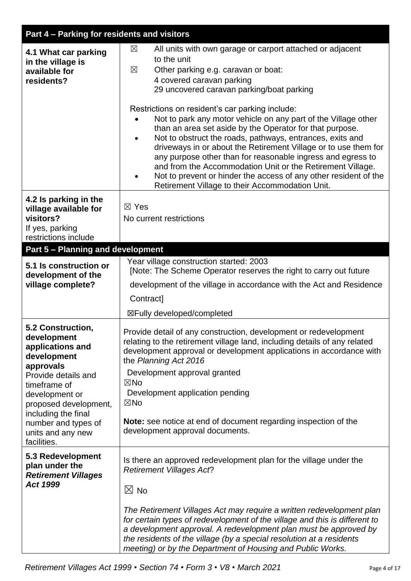| Part 4 - Parking for residents and visitors |                                                                                                                                                    |  |  |
|---------------------------------------------|----------------------------------------------------------------------------------------------------------------------------------------------------|--|--|
|                                             | All units with own garage or carport attached or adjacent<br>$\boxtimes$                                                                           |  |  |
| 4.1 What car parking<br>in the village is   | to the unit                                                                                                                                        |  |  |
| available for                               | Other parking e.g. caravan or boat:<br>$\boxtimes$                                                                                                 |  |  |
| residents?                                  | 4 covered caravan parking                                                                                                                          |  |  |
|                                             | 29 uncovered caravan parking/boat parking                                                                                                          |  |  |
|                                             | Restrictions on resident's car parking include:                                                                                                    |  |  |
|                                             | Not to park any motor vehicle on any part of the Village other                                                                                     |  |  |
|                                             | than an area set aside by the Operator for that purpose.<br>Not to obstruct the roads, pathways, entrances, exits and<br>$\bullet$                 |  |  |
|                                             | driveways in or about the Retirement Village or to use them for                                                                                    |  |  |
|                                             | any purpose other than for reasonable ingress and egress to                                                                                        |  |  |
|                                             | and from the Accommodation Unit or the Retirement Village.<br>Not to prevent or hinder the access of any other resident of the                     |  |  |
|                                             | Retirement Village to their Accommodation Unit.                                                                                                    |  |  |
| 4.2 Is parking in the                       |                                                                                                                                                    |  |  |
| village available for                       | $\boxtimes$ Yes                                                                                                                                    |  |  |
| visitors?                                   | No current restrictions                                                                                                                            |  |  |
| If yes, parking<br>restrictions include     |                                                                                                                                                    |  |  |
| <b>Part 5 - Planning and development</b>    |                                                                                                                                                    |  |  |
| 5.1 Is construction or                      | Year village construction started: 2003                                                                                                            |  |  |
| development of the                          | [Note: The Scheme Operator reserves the right to carry out future                                                                                  |  |  |
| village complete?                           | development of the village in accordance with the Act and Residence                                                                                |  |  |
|                                             | Contract]                                                                                                                                          |  |  |
|                                             | ⊠Fully developed/completed                                                                                                                         |  |  |
| 5.2 Construction,                           |                                                                                                                                                    |  |  |
| development                                 | Provide detail of any construction, development or redevelopment<br>relating to the retirement village land, including details of any related      |  |  |
| applications and                            | development approval or development applications in accordance with                                                                                |  |  |
| development<br>approvals                    | the Planning Act 2016                                                                                                                              |  |  |
| Provide details and                         | Development approval granted                                                                                                                       |  |  |
| timeframe of                                | $\boxtimes$ No<br>Development application pending                                                                                                  |  |  |
| development or<br>proposed development,     | $\boxtimes$ No                                                                                                                                     |  |  |
| including the final                         |                                                                                                                                                    |  |  |
| number and types of                         | <b>Note:</b> see notice at end of document regarding inspection of the<br>development approval documents.                                          |  |  |
| units and any new<br>facilities.            |                                                                                                                                                    |  |  |
| 5.3 Redevelopment                           |                                                                                                                                                    |  |  |
| plan under the                              | Is there an approved redevelopment plan for the village under the<br><b>Retirement Villages Act?</b>                                               |  |  |
| <b>Retirement Villages</b>                  |                                                                                                                                                    |  |  |
| Act 1999                                    | $\boxtimes$ No                                                                                                                                     |  |  |
|                                             |                                                                                                                                                    |  |  |
|                                             | The Retirement Villages Act may require a written redevelopment plan<br>for certain types of redevelopment of the village and this is different to |  |  |
|                                             | a development approval. A redevelopment plan must be approved by                                                                                   |  |  |
|                                             | the residents of the village (by a special resolution at a residents                                                                               |  |  |
|                                             | meeting) or by the Department of Housing and Public Works.                                                                                         |  |  |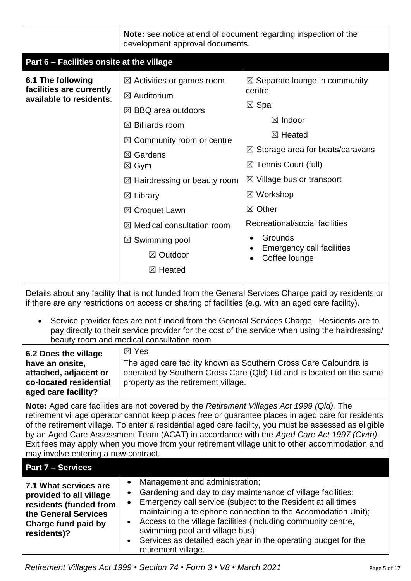|                                                                                                                                                                                                                                                                                                                                                                                                                                                                                                                                                 | <b>Note:</b> see notice at end of document regarding inspection of the<br>development approval documents.                                                                                                                                                                                                                                                                                                                                             |                                                                                                                                                                                                                                                                                                                                                                                  |
|-------------------------------------------------------------------------------------------------------------------------------------------------------------------------------------------------------------------------------------------------------------------------------------------------------------------------------------------------------------------------------------------------------------------------------------------------------------------------------------------------------------------------------------------------|-------------------------------------------------------------------------------------------------------------------------------------------------------------------------------------------------------------------------------------------------------------------------------------------------------------------------------------------------------------------------------------------------------------------------------------------------------|----------------------------------------------------------------------------------------------------------------------------------------------------------------------------------------------------------------------------------------------------------------------------------------------------------------------------------------------------------------------------------|
| Part 6 - Facilities onsite at the village                                                                                                                                                                                                                                                                                                                                                                                                                                                                                                       |                                                                                                                                                                                                                                                                                                                                                                                                                                                       |                                                                                                                                                                                                                                                                                                                                                                                  |
| 6.1 The following<br>facilities are currently<br>available to residents:                                                                                                                                                                                                                                                                                                                                                                                                                                                                        | $\boxtimes$ Activities or games room<br>$\boxtimes$ Auditorium<br>$\boxtimes$ BBQ area outdoors<br>$\boxtimes$ Billiards room<br>$\boxtimes$ Community room or centre<br>$\boxtimes$ Gardens<br>$\boxtimes$ Gym<br>$\boxtimes$ Hairdressing or beauty room<br>$\boxtimes$ Library<br>$\boxtimes$ Croquet Lawn<br>$\boxtimes$ Medical consultation room<br>$\boxtimes$ Swimming pool<br>⊠ Outdoor                                                      | $\boxtimes$ Separate lounge in community<br>centre<br>$\boxtimes$ Spa<br>$\boxtimes$ Indoor<br>⊠ Heated<br>$\boxtimes$ Storage area for boats/caravans<br>$\boxtimes$ Tennis Court (full)<br>$\boxtimes$ Village bus or transport<br>$\boxtimes$ Workshop<br>$\boxtimes$ Other<br>Recreational/social facilities<br>Grounds<br><b>Emergency call facilities</b><br>Coffee lounge |
|                                                                                                                                                                                                                                                                                                                                                                                                                                                                                                                                                 | $\boxtimes$ Heated                                                                                                                                                                                                                                                                                                                                                                                                                                    |                                                                                                                                                                                                                                                                                                                                                                                  |
| Details about any facility that is not funded from the General Services Charge paid by residents or<br>if there are any restrictions on access or sharing of facilities (e.g. with an aged care facility).<br>Service provider fees are not funded from the General Services Charge. Residents are to<br>pay directly to their service provider for the cost of the service when using the hairdressing/                                                                                                                                        |                                                                                                                                                                                                                                                                                                                                                                                                                                                       |                                                                                                                                                                                                                                                                                                                                                                                  |
| 6.2 Does the village<br>have an onsite,<br>attached, adjacent or<br>co-located residential<br>aged care facility?                                                                                                                                                                                                                                                                                                                                                                                                                               | beauty room and medical consultation room<br>$\boxtimes$ Yes<br>The aged care facility known as Southern Cross Care Caloundra is<br>operated by Southern Cross Care (Qld) Ltd and is located on the same<br>property as the retirement village.                                                                                                                                                                                                       |                                                                                                                                                                                                                                                                                                                                                                                  |
| Note: Aged care facilities are not covered by the Retirement Villages Act 1999 (Qld). The<br>retirement village operator cannot keep places free or guarantee places in aged care for residents<br>of the retirement village. To enter a residential aged care facility, you must be assessed as eligible<br>by an Aged Care Assessment Team (ACAT) in accordance with the Aged Care Act 1997 (Cwth).<br>Exit fees may apply when you move from your retirement village unit to other accommodation and<br>may involve entering a new contract. |                                                                                                                                                                                                                                                                                                                                                                                                                                                       |                                                                                                                                                                                                                                                                                                                                                                                  |
| <b>Part 7 - Services</b>                                                                                                                                                                                                                                                                                                                                                                                                                                                                                                                        |                                                                                                                                                                                                                                                                                                                                                                                                                                                       |                                                                                                                                                                                                                                                                                                                                                                                  |
| 7.1 What services are<br>provided to all village<br>residents (funded from<br>the General Services<br>Charge fund paid by<br>residents)?                                                                                                                                                                                                                                                                                                                                                                                                        | Management and administration;<br>$\bullet$<br>Gardening and day to day maintenance of village facilities;<br>Emergency call service (subject to the Resident at all times<br>maintaining a telephone connection to the Accomodation Unit);<br>Access to the village facilities (including community centre,<br>swimming pool and village bus);<br>Services as detailed each year in the operating budget for the<br>$\bullet$<br>retirement village. |                                                                                                                                                                                                                                                                                                                                                                                  |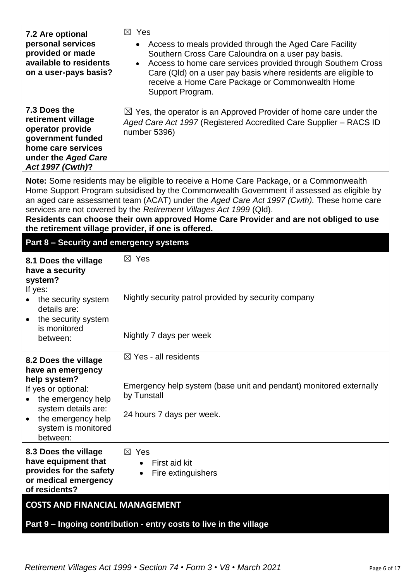| 7.2 Are optional<br>personal services<br>provided or made<br>available to residents<br>on a user-pays basis?                                                                           | $\boxtimes$ Yes<br>Access to meals provided through the Aged Care Facility<br>Southern Cross Care Caloundra on a user pay basis.<br>Access to home care services provided through Southern Cross<br>$\bullet$<br>Care (Qld) on a user pay basis where residents are eligible to<br>receive a Home Care Package or Commonwealth Home<br>Support Program.                                                                                         |  |
|----------------------------------------------------------------------------------------------------------------------------------------------------------------------------------------|-------------------------------------------------------------------------------------------------------------------------------------------------------------------------------------------------------------------------------------------------------------------------------------------------------------------------------------------------------------------------------------------------------------------------------------------------|--|
| 7.3 Does the<br>retirement village<br>operator provide<br>government funded<br>home care services<br>under the Aged Care<br>Act 1997 (Cwth)?                                           | $\boxtimes$ Yes, the operator is an Approved Provider of home care under the<br>Aged Care Act 1997 (Registered Accredited Care Supplier - RACS ID<br>number 5396)                                                                                                                                                                                                                                                                               |  |
| the retirement village provider, if one is offered.                                                                                                                                    | Note: Some residents may be eligible to receive a Home Care Package, or a Commonwealth<br>Home Support Program subsidised by the Commonwealth Government if assessed as eligible by<br>an aged care assessment team (ACAT) under the Aged Care Act 1997 (Cwth). These home care<br>services are not covered by the Retirement Villages Act 1999 (Qld).<br>Residents can choose their own approved Home Care Provider and are not obliged to use |  |
| Part 8 - Security and emergency systems                                                                                                                                                |                                                                                                                                                                                                                                                                                                                                                                                                                                                 |  |
| 8.1 Does the village<br>have a security<br>system?<br>If yes:<br>the security system<br>details are:<br>the security system<br>is monitored<br>between:                                | $\boxtimes$ Yes<br>Nightly security patrol provided by security company<br>Nightly 7 days per week                                                                                                                                                                                                                                                                                                                                              |  |
| 8.2 Does the village<br>have an emergency<br>help system?<br>If yes or optional:<br>the emergency help<br>system details are:<br>the emergency help<br>system is monitored<br>between: | $\boxtimes$ Yes - all residents<br>Emergency help system (base unit and pendant) monitored externally<br>by Tunstall<br>24 hours 7 days per week.                                                                                                                                                                                                                                                                                               |  |
| 8.3 Does the village<br>have equipment that<br>provides for the safety<br>or medical emergency<br>of residents?                                                                        | $\boxtimes$ Yes<br>First aid kit<br>Fire extinguishers                                                                                                                                                                                                                                                                                                                                                                                          |  |
| <b>COSTS AND FINANCIAL MANAGEMENT</b>                                                                                                                                                  |                                                                                                                                                                                                                                                                                                                                                                                                                                                 |  |
|                                                                                                                                                                                        | Part 9 - Ingoing contribution - entry costs to live in the village                                                                                                                                                                                                                                                                                                                                                                              |  |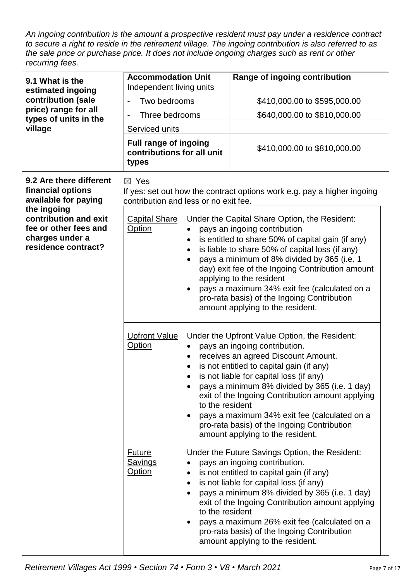*An ingoing contribution is the amount a prospective resident must pay under a residence contract to secure a right to reside in the retirement village. The ingoing contribution is also referred to as the sale price or purchase price. It does not include ongoing charges such as rent or other recurring fees.*

| 9.1 What is the                                                                                         | <b>Accommodation Unit</b>                                           |                                                        | Range of ingoing contribution                                                                                                                                                                                                                                                                                                                                                                                                                           |
|---------------------------------------------------------------------------------------------------------|---------------------------------------------------------------------|--------------------------------------------------------|---------------------------------------------------------------------------------------------------------------------------------------------------------------------------------------------------------------------------------------------------------------------------------------------------------------------------------------------------------------------------------------------------------------------------------------------------------|
| estimated ingoing                                                                                       | Independent living units                                            |                                                        |                                                                                                                                                                                                                                                                                                                                                                                                                                                         |
| contribution (sale                                                                                      | Two bedrooms                                                        |                                                        | \$410,000.00 to \$595,000.00                                                                                                                                                                                                                                                                                                                                                                                                                            |
| price) range for all<br>types of units in the                                                           | Three bedrooms                                                      |                                                        | \$640,000.00 to \$810,000.00                                                                                                                                                                                                                                                                                                                                                                                                                            |
| village                                                                                                 | Serviced units                                                      |                                                        |                                                                                                                                                                                                                                                                                                                                                                                                                                                         |
|                                                                                                         | <b>Full range of ingoing</b><br>contributions for all unit<br>types |                                                        | \$410,000.00 to \$810,000.00                                                                                                                                                                                                                                                                                                                                                                                                                            |
| 9.2 Are there different<br>financial options<br>available for paying                                    | $\boxtimes$ Yes<br>contribution and less or no exit fee.            |                                                        | If yes: set out how the contract options work e.g. pay a higher ingoing                                                                                                                                                                                                                                                                                                                                                                                 |
| the ingoing<br>contribution and exit<br>fee or other fees and<br>charges under a<br>residence contract? | <b>Capital Share</b><br><b>Option</b>                               | $\bullet$<br>$\bullet$<br>$\bullet$                    | Under the Capital Share Option, the Resident:<br>pays an ingoing contribution<br>is entitled to share 50% of capital gain (if any)<br>is liable to share 50% of capital loss (if any)<br>pays a minimum of 8% divided by 365 (i.e. 1<br>day) exit fee of the Ingoing Contribution amount<br>applying to the resident<br>pays a maximum 34% exit fee (calculated on a<br>pro-rata basis) of the Ingoing Contribution<br>amount applying to the resident. |
|                                                                                                         | <b>Upfront Value</b><br><b>Option</b>                               | $\bullet$<br>$\bullet$<br>$\bullet$<br>to the resident | Under the Upfront Value Option, the Resident:<br>pays an ingoing contribution.<br>receives an agreed Discount Amount.<br>is not entitled to capital gain (if any)<br>is not liable for capital loss (if any)<br>pays a minimum 8% divided by 365 (i.e. 1 day)<br>exit of the Ingoing Contribution amount applying<br>pays a maximum 34% exit fee (calculated on a<br>pro-rata basis) of the Ingoing Contribution<br>amount applying to the resident.    |
|                                                                                                         | <u>Future</u><br><u>Savings</u><br><u>Option</u>                    | $\bullet$<br>to the resident                           | Under the Future Savings Option, the Resident:<br>pays an ingoing contribution.<br>is not entitled to capital gain (if any)<br>is not liable for capital loss (if any)<br>pays a minimum 8% divided by 365 (i.e. 1 day)<br>exit of the Ingoing Contribution amount applying<br>pays a maximum 26% exit fee (calculated on a<br>pro-rata basis) of the Ingoing Contribution<br>amount applying to the resident.                                          |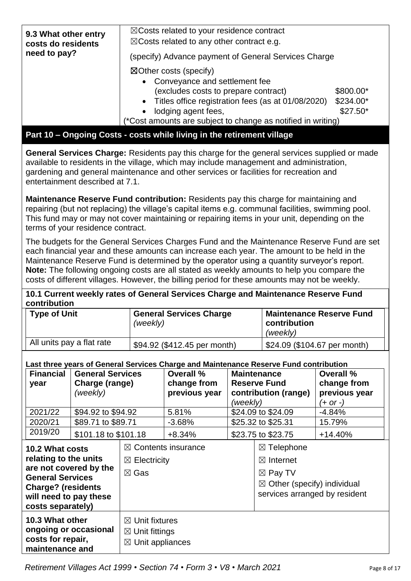| 9.3 What other entry<br>costs do residents<br>need to pay? | $\boxtimes$ Costs related to your residence contract<br>$\boxtimes$ Costs related to any other contract e.g.<br>(specify) Advance payment of General Services Charge                                                                                                   |                                     |
|------------------------------------------------------------|------------------------------------------------------------------------------------------------------------------------------------------------------------------------------------------------------------------------------------------------------------------------|-------------------------------------|
|                                                            | $\boxtimes$ Other costs (specify)<br>Conveyance and settlement fee<br>$\bullet$<br>(excludes costs to prepare contract)<br>• Titles office registration fees (as at 01/08/2020)<br>lodging agent fees,<br>(*Cost amounts are subject to change as notified in writing) | \$800.00*<br>\$234.00*<br>$$27.50*$ |

## **Part 10 – Ongoing Costs - costs while living in the retirement village**

**General Services Charge:** Residents pay this charge for the general services supplied or made available to residents in the village, which may include management and administration, gardening and general maintenance and other services or facilities for recreation and entertainment described at 7.1.

**Maintenance Reserve Fund contribution:** Residents pay this charge for maintaining and repairing (but not replacing) the village's capital items e.g. communal facilities, swimming pool. This fund may or may not cover maintaining or repairing items in your unit, depending on the terms of your residence contract.

The budgets for the General Services Charges Fund and the Maintenance Reserve Fund are set each financial year and these amounts can increase each year. The amount to be held in the Maintenance Reserve Fund is determined by the operator using a quantity surveyor's report. **Note:** The following ongoing costs are all stated as weekly amounts to help you compare the costs of different villages. However, the billing period for these amounts may not be weekly.

#### **10.1 Current weekly rates of General Services Charge and Maintenance Reserve Fund contribution**

| <b>Type of Unit</b>       | <b>General Services Charge</b><br>(weekly) | <b>Maintenance Reserve Fund</b><br>contribution<br>(weekly) |
|---------------------------|--------------------------------------------|-------------------------------------------------------------|
| All units pay a flat rate | \$94.92 (\$412.45 per month)               | \$24.09 (\$104.67 per month)                                |

#### **Last three years of General Services Charge and Maintenance Reserve Fund contribution**

|                           |                                                                                               |                         |                             | במטר מחיסט וועסטור שטחטומו סטרווטט סחמוקט מחמות המחזמיות ווטסטו וט בימוח טטומומט |                                        |                               |               |
|---------------------------|-----------------------------------------------------------------------------------------------|-------------------------|-----------------------------|----------------------------------------------------------------------------------|----------------------------------------|-------------------------------|---------------|
|                           | <b>Financial</b>                                                                              | <b>General Services</b> |                             | Overall %                                                                        |                                        | <b>Maintenance</b>            | Overall %     |
|                           | year                                                                                          | Charge (range)          |                             | change from                                                                      |                                        | <b>Reserve Fund</b>           | change from   |
|                           |                                                                                               | (weekly)                |                             | previous year                                                                    |                                        | contribution (range)          | previous year |
|                           |                                                                                               |                         |                             |                                                                                  | (weekly)                               |                               | $(+ or -)$    |
|                           | 2021/22                                                                                       | \$94.92 to \$94.92      |                             | 5.81%                                                                            |                                        | \$24.09 to \$24.09            | -4.84%        |
|                           | 2020/21                                                                                       | \$89.71 to \$89.71      |                             | $-3.68%$                                                                         |                                        | \$25.32 to \$25.31            | 15.79%        |
|                           | 2019/20                                                                                       | \$101.18 to \$101.18    |                             | $+8.34%$                                                                         |                                        | \$23.75 to \$23.75            | $+14.40%$     |
|                           | 10.2 What costs<br>relating to the units<br>are not covered by the<br><b>General Services</b> |                         |                             | $\boxtimes$ Contents insurance                                                   |                                        | $\boxtimes$ Telephone         |               |
|                           |                                                                                               |                         | $\boxtimes$ Electricity     |                                                                                  | $\boxtimes$ Internet                   |                               |               |
|                           |                                                                                               |                         | $\boxtimes$ Gas             |                                                                                  | $\boxtimes$ Pay TV                     |                               |               |
| <b>Charge? (residents</b> |                                                                                               |                         |                             |                                                                                  | $\boxtimes$ Other (specify) individual |                               |               |
|                           | will need to pay these                                                                        |                         |                             |                                                                                  |                                        | services arranged by resident |               |
|                           | costs separately)                                                                             |                         |                             |                                                                                  |                                        |                               |               |
|                           | 10.3 What other                                                                               |                         | $\boxtimes$ Unit fixtures   |                                                                                  |                                        |                               |               |
|                           | ongoing or occasional                                                                         |                         | $\boxtimes$ Unit fittings   |                                                                                  |                                        |                               |               |
|                           | costs for repair,                                                                             |                         | $\boxtimes$ Unit appliances |                                                                                  |                                        |                               |               |
|                           | maintenance and                                                                               |                         |                             |                                                                                  |                                        |                               |               |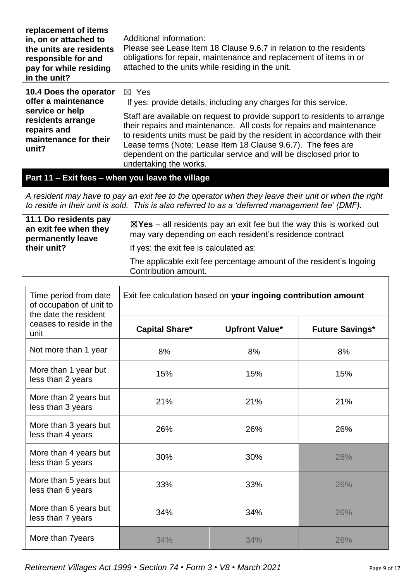| replacement of items<br>in, on or attached to<br>the units are residents<br>responsible for and<br>pay for while residing<br>in the unit?                                                              | Additional information:<br>Please see Lease Item 18 Clause 9.6.7 in relation to the residents<br>obligations for repair, maintenance and replacement of items in or<br>attached to the units while residing in the unit.                                                                                                                                                                                                                                                             |                                                                                                                                                                                                                   |                        |  |
|--------------------------------------------------------------------------------------------------------------------------------------------------------------------------------------------------------|--------------------------------------------------------------------------------------------------------------------------------------------------------------------------------------------------------------------------------------------------------------------------------------------------------------------------------------------------------------------------------------------------------------------------------------------------------------------------------------|-------------------------------------------------------------------------------------------------------------------------------------------------------------------------------------------------------------------|------------------------|--|
| 10.4 Does the operator<br>offer a maintenance<br>service or help<br>residents arrange<br>repairs and<br>maintenance for their<br>unit?                                                                 | $\boxtimes$ Yes<br>If yes: provide details, including any charges for this service.<br>Staff are available on request to provide support to residents to arrange<br>their repairs and maintenance. All costs for repairs and maintenance<br>to residents units must be paid by the resident in accordance with their<br>Lease terms (Note: Lease Item 18 Clause 9.6.7). The fees are<br>dependent on the particular service and will be disclosed prior to<br>undertaking the works. |                                                                                                                                                                                                                   |                        |  |
| Part 11 - Exit fees - when you leave the village                                                                                                                                                       |                                                                                                                                                                                                                                                                                                                                                                                                                                                                                      |                                                                                                                                                                                                                   |                        |  |
| A resident may have to pay an exit fee to the operator when they leave their unit or when the right<br>to reside in their unit is sold. This is also referred to as a 'deferred management fee' (DMF). |                                                                                                                                                                                                                                                                                                                                                                                                                                                                                      |                                                                                                                                                                                                                   |                        |  |
| 11.1 Do residents pay<br>an exit fee when they<br>permanently leave<br>their unit?                                                                                                                     | If yes: the exit fee is calculated as:<br>Contribution amount.                                                                                                                                                                                                                                                                                                                                                                                                                       | $\boxtimes$ Yes – all residents pay an exit fee but the way this is worked out<br>may vary depending on each resident's residence contract<br>The applicable exit fee percentage amount of the resident's Ingoing |                        |  |
| Time period from date<br>of occupation of unit to<br>the date the resident                                                                                                                             | Exit fee calculation based on your ingoing contribution amount                                                                                                                                                                                                                                                                                                                                                                                                                       |                                                                                                                                                                                                                   |                        |  |
| ceases to reside in the<br>unit                                                                                                                                                                        | <b>Capital Share*</b>                                                                                                                                                                                                                                                                                                                                                                                                                                                                | <b>Upfront Value*</b>                                                                                                                                                                                             | <b>Future Savings*</b> |  |
| Not more than 1 year                                                                                                                                                                                   | 8%                                                                                                                                                                                                                                                                                                                                                                                                                                                                                   | 8%                                                                                                                                                                                                                | 8%                     |  |
| More than 1 year but<br>less than 2 years                                                                                                                                                              | 15%                                                                                                                                                                                                                                                                                                                                                                                                                                                                                  | 15%                                                                                                                                                                                                               | 15%                    |  |
| More than 2 years but<br>less than 3 years                                                                                                                                                             | 21%                                                                                                                                                                                                                                                                                                                                                                                                                                                                                  | 21%                                                                                                                                                                                                               | 21%                    |  |
| More than 3 years but<br>less than 4 years                                                                                                                                                             | 26%                                                                                                                                                                                                                                                                                                                                                                                                                                                                                  | 26%                                                                                                                                                                                                               | 26%                    |  |
| More than 4 years but<br>less than 5 years                                                                                                                                                             | 30%                                                                                                                                                                                                                                                                                                                                                                                                                                                                                  | 30%                                                                                                                                                                                                               | 26%                    |  |
| More than 5 years but<br>less than 6 years                                                                                                                                                             | 33%                                                                                                                                                                                                                                                                                                                                                                                                                                                                                  | 33%                                                                                                                                                                                                               | 26%                    |  |
| More than 6 years but<br>less than 7 years                                                                                                                                                             | 34%                                                                                                                                                                                                                                                                                                                                                                                                                                                                                  | 34%                                                                                                                                                                                                               | 26%                    |  |
| More than 7years                                                                                                                                                                                       | 34%                                                                                                                                                                                                                                                                                                                                                                                                                                                                                  | 34%                                                                                                                                                                                                               | 26%                    |  |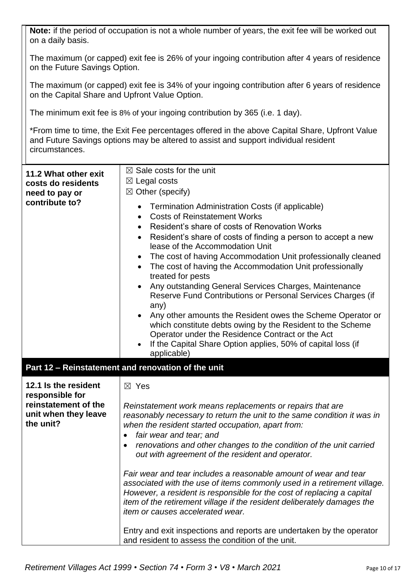| on a daily basis.                                                            | Note: if the period of occupation is not a whole number of years, the exit fee will be worked out                                                                                                                                                                                                                                                                                                                                                                                                                                                                                                                                                                                                                                                                                                                                                             |  |  |
|------------------------------------------------------------------------------|---------------------------------------------------------------------------------------------------------------------------------------------------------------------------------------------------------------------------------------------------------------------------------------------------------------------------------------------------------------------------------------------------------------------------------------------------------------------------------------------------------------------------------------------------------------------------------------------------------------------------------------------------------------------------------------------------------------------------------------------------------------------------------------------------------------------------------------------------------------|--|--|
|                                                                              | The maximum (or capped) exit fee is 26% of your ingoing contribution after 4 years of residence<br>on the Future Savings Option.                                                                                                                                                                                                                                                                                                                                                                                                                                                                                                                                                                                                                                                                                                                              |  |  |
|                                                                              | The maximum (or capped) exit fee is 34% of your ingoing contribution after 6 years of residence<br>on the Capital Share and Upfront Value Option.                                                                                                                                                                                                                                                                                                                                                                                                                                                                                                                                                                                                                                                                                                             |  |  |
| The minimum exit fee is 8% of your ingoing contribution by 365 (i.e. 1 day). |                                                                                                                                                                                                                                                                                                                                                                                                                                                                                                                                                                                                                                                                                                                                                                                                                                                               |  |  |
| circumstances.                                                               | *From time to time, the Exit Fee percentages offered in the above Capital Share, Upfront Value<br>and Future Savings options may be altered to assist and support individual resident                                                                                                                                                                                                                                                                                                                                                                                                                                                                                                                                                                                                                                                                         |  |  |
| 11.2 What other exit<br>costs do residents<br>need to pay or                 | $\boxtimes$ Sale costs for the unit<br>$\boxtimes$ Legal costs<br>$\boxtimes$ Other (specify)                                                                                                                                                                                                                                                                                                                                                                                                                                                                                                                                                                                                                                                                                                                                                                 |  |  |
| contribute to?                                                               | Termination Administration Costs (if applicable)<br>$\bullet$<br><b>Costs of Reinstatement Works</b><br>$\bullet$<br>Resident's share of costs of Renovation Works<br>Resident's share of costs of finding a person to accept a new<br>$\bullet$<br>lease of the Accommodation Unit<br>The cost of having Accommodation Unit professionally cleaned<br>$\bullet$<br>The cost of having the Accommodation Unit professionally<br>treated for pests<br>Any outstanding General Services Charges, Maintenance<br>$\bullet$<br>Reserve Fund Contributions or Personal Services Charges (if<br>any)<br>Any other amounts the Resident owes the Scheme Operator or<br>which constitute debts owing by the Resident to the Scheme<br>Operator under the Residence Contract or the Act<br>If the Capital Share Option applies, 50% of capital loss (if<br>applicable) |  |  |
| 12.1 Is the resident<br>responsible for                                      | Part 12 - Reinstatement and renovation of the unit<br>$\boxtimes$ Yes                                                                                                                                                                                                                                                                                                                                                                                                                                                                                                                                                                                                                                                                                                                                                                                         |  |  |
| reinstatement of the<br>unit when they leave<br>the unit?                    | Reinstatement work means replacements or repairs that are<br>reasonably necessary to return the unit to the same condition it was in<br>when the resident started occupation, apart from:<br>fair wear and tear; and<br>$\bullet$<br>renovations and other changes to the condition of the unit carried<br>out with agreement of the resident and operator.                                                                                                                                                                                                                                                                                                                                                                                                                                                                                                   |  |  |
|                                                                              | Fair wear and tear includes a reasonable amount of wear and tear<br>associated with the use of items commonly used in a retirement village.<br>However, a resident is responsible for the cost of replacing a capital<br>item of the retirement village if the resident deliberately damages the<br><i>item or causes accelerated wear.</i>                                                                                                                                                                                                                                                                                                                                                                                                                                                                                                                   |  |  |
|                                                                              | Entry and exit inspections and reports are undertaken by the operator<br>and resident to assess the condition of the unit.                                                                                                                                                                                                                                                                                                                                                                                                                                                                                                                                                                                                                                                                                                                                    |  |  |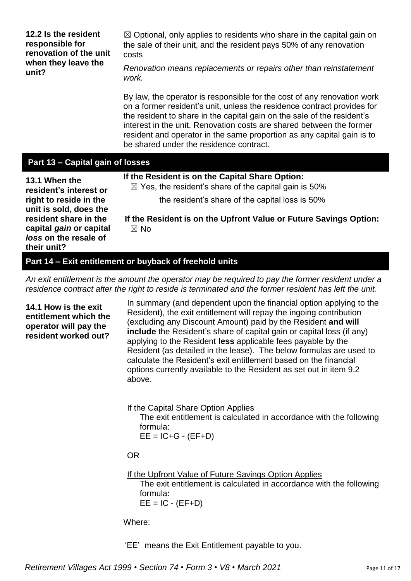| 12.2 Is the resident<br>responsible for<br>renovation of the unit<br>when they leave the<br>unit?                                                                                       | $\boxtimes$ Optional, only applies to residents who share in the capital gain on<br>the sale of their unit, and the resident pays 50% of any renovation<br>costs<br>Renovation means replacements or repairs other than reinstatement<br>work.<br>By law, the operator is responsible for the cost of any renovation work<br>on a former resident's unit, unless the residence contract provides for<br>the resident to share in the capital gain on the sale of the resident's<br>interest in the unit. Renovation costs are shared between the former<br>resident and operator in the same proportion as any capital gain is to<br>be shared under the residence contract.                                                                                                                                                                                                                                            |  |  |
|-----------------------------------------------------------------------------------------------------------------------------------------------------------------------------------------|-------------------------------------------------------------------------------------------------------------------------------------------------------------------------------------------------------------------------------------------------------------------------------------------------------------------------------------------------------------------------------------------------------------------------------------------------------------------------------------------------------------------------------------------------------------------------------------------------------------------------------------------------------------------------------------------------------------------------------------------------------------------------------------------------------------------------------------------------------------------------------------------------------------------------|--|--|
| Part 13 - Capital gain of losses                                                                                                                                                        |                                                                                                                                                                                                                                                                                                                                                                                                                                                                                                                                                                                                                                                                                                                                                                                                                                                                                                                         |  |  |
| 13.1 When the<br>resident's interest or<br>right to reside in the<br>unit is sold, does the<br>resident share in the<br>capital gain or capital<br>loss on the resale of<br>their unit? | If the Resident is on the Capital Share Option:<br>$\boxtimes$ Yes, the resident's share of the capital gain is 50%<br>the resident's share of the capital loss is 50%<br>If the Resident is on the Upfront Value or Future Savings Option:<br>$\boxtimes$ No                                                                                                                                                                                                                                                                                                                                                                                                                                                                                                                                                                                                                                                           |  |  |
| Part 14 - Exit entitlement or buyback of freehold units                                                                                                                                 |                                                                                                                                                                                                                                                                                                                                                                                                                                                                                                                                                                                                                                                                                                                                                                                                                                                                                                                         |  |  |
|                                                                                                                                                                                         | An exit entitlement is the amount the operator may be required to pay the former resident under a<br>residence contract after the right to reside is terminated and the former resident has left the unit.                                                                                                                                                                                                                                                                                                                                                                                                                                                                                                                                                                                                                                                                                                              |  |  |
| 14.1 How is the exit<br>entitlement which the<br>operator will pay the<br>resident worked out?                                                                                          | In summary (and dependent upon the financial option applying to the<br>Resident), the exit entitlement will repay the ingoing contribution<br>(excluding any Discount Amount) paid by the Resident and will<br>include the Resident's share of capital gain or capital loss (if any)<br>applying to the Resident less applicable fees payable by the<br>Resident (as detailed in the lease). The below formulas are used to<br>calculate the Resident's exit entitlement based on the financial<br>options currently available to the Resident as set out in item 9.2<br>above.<br>If the Capital Share Option Applies<br>The exit entitlement is calculated in accordance with the following<br>formula:<br>$EE = IC+G - (EF+D)$<br><b>OR</b><br><u>If the Upfront Value of Future Savings Option Applies</u><br>The exit entitlement is calculated in accordance with the following<br>formula:<br>$EE = IC - (EF+D)$ |  |  |
|                                                                                                                                                                                         | Where:<br>'EE' means the Exit Entitlement payable to you.                                                                                                                                                                                                                                                                                                                                                                                                                                                                                                                                                                                                                                                                                                                                                                                                                                                               |  |  |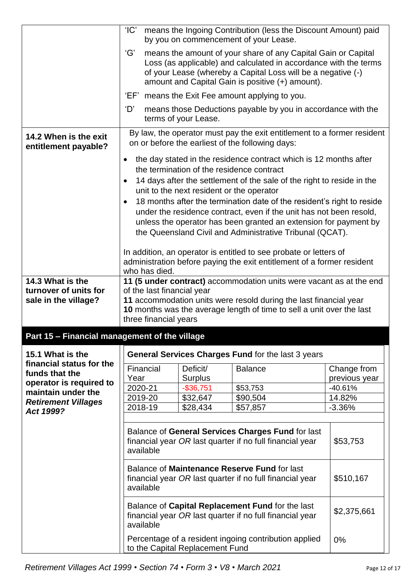|                                                                       | 'IC'                                                                                                                                                                                                                                                                                                                                                                                                                                                                                                                                                                                                                                                                                                                                                                                                                                                                                       |                                            | means the Ingoing Contribution (less the Discount Amount) paid<br>by you on commencement of your Lease.                                                                                                                                               |                                           |  |
|-----------------------------------------------------------------------|--------------------------------------------------------------------------------------------------------------------------------------------------------------------------------------------------------------------------------------------------------------------------------------------------------------------------------------------------------------------------------------------------------------------------------------------------------------------------------------------------------------------------------------------------------------------------------------------------------------------------------------------------------------------------------------------------------------------------------------------------------------------------------------------------------------------------------------------------------------------------------------------|--------------------------------------------|-------------------------------------------------------------------------------------------------------------------------------------------------------------------------------------------------------------------------------------------------------|-------------------------------------------|--|
|                                                                       | ʻGʻ                                                                                                                                                                                                                                                                                                                                                                                                                                                                                                                                                                                                                                                                                                                                                                                                                                                                                        |                                            | means the amount of your share of any Capital Gain or Capital<br>Loss (as applicable) and calculated in accordance with the terms<br>of your Lease (whereby a Capital Loss will be a negative (-)<br>amount and Capital Gain is positive (+) amount). |                                           |  |
|                                                                       |                                                                                                                                                                                                                                                                                                                                                                                                                                                                                                                                                                                                                                                                                                                                                                                                                                                                                            |                                            | 'EF' means the Exit Fee amount applying to you.                                                                                                                                                                                                       |                                           |  |
|                                                                       | 'D'                                                                                                                                                                                                                                                                                                                                                                                                                                                                                                                                                                                                                                                                                                                                                                                                                                                                                        | terms of your Lease.                       | means those Deductions payable by you in accordance with the                                                                                                                                                                                          |                                           |  |
| 14.2 When is the exit<br>entitlement payable?                         |                                                                                                                                                                                                                                                                                                                                                                                                                                                                                                                                                                                                                                                                                                                                                                                                                                                                                            |                                            | By law, the operator must pay the exit entitlement to a former resident<br>on or before the earliest of the following days:                                                                                                                           |                                           |  |
| 14.3 What is the<br>turnover of units for<br>sale in the village?     | the day stated in the residence contract which is 12 months after<br>$\bullet$<br>the termination of the residence contract<br>14 days after the settlement of the sale of the right to reside in the<br>$\bullet$<br>unit to the next resident or the operator<br>18 months after the termination date of the resident's right to reside<br>under the residence contract, even if the unit has not been resold,<br>unless the operator has been granted an extension for payment by<br>the Queensland Civil and Administrative Tribunal (QCAT).<br>In addition, an operator is entitled to see probate or letters of<br>administration before paying the exit entitlement of a former resident<br>who has died.<br>11 (5 under contract) accommodation units were vacant as at the end<br>of the last financial year<br>11 accommodation units were resold during the last financial year |                                            |                                                                                                                                                                                                                                                       |                                           |  |
|                                                                       | three financial years                                                                                                                                                                                                                                                                                                                                                                                                                                                                                                                                                                                                                                                                                                                                                                                                                                                                      |                                            | 10 months was the average length of time to sell a unit over the last                                                                                                                                                                                 |                                           |  |
| Part 15 - Financial management of the village                         |                                                                                                                                                                                                                                                                                                                                                                                                                                                                                                                                                                                                                                                                                                                                                                                                                                                                                            |                                            |                                                                                                                                                                                                                                                       |                                           |  |
| 15.1 What is the                                                      |                                                                                                                                                                                                                                                                                                                                                                                                                                                                                                                                                                                                                                                                                                                                                                                                                                                                                            |                                            | General Services Charges Fund for the last 3 years                                                                                                                                                                                                    |                                           |  |
| financial status for the<br>funds that the<br>operator is required to | Financial<br>Year<br>2020-21                                                                                                                                                                                                                                                                                                                                                                                                                                                                                                                                                                                                                                                                                                                                                                                                                                                               | Deficit/<br><b>Surplus</b><br>$-$ \$36,751 | <b>Balance</b><br>\$53,753                                                                                                                                                                                                                            | Change from<br>previous year<br>$-40.61%$ |  |
| maintain under the                                                    | 2019-20                                                                                                                                                                                                                                                                                                                                                                                                                                                                                                                                                                                                                                                                                                                                                                                                                                                                                    | \$32,647                                   | \$90,504                                                                                                                                                                                                                                              | 14.82%                                    |  |
| <b>Retirement Villages</b><br>Act 1999?                               | 2018-19                                                                                                                                                                                                                                                                                                                                                                                                                                                                                                                                                                                                                                                                                                                                                                                                                                                                                    | \$28,434                                   | \$57,857                                                                                                                                                                                                                                              | $-3.36%$                                  |  |
|                                                                       | Balance of General Services Charges Fund for last<br>financial year OR last quarter if no full financial year<br>\$53,753<br>available                                                                                                                                                                                                                                                                                                                                                                                                                                                                                                                                                                                                                                                                                                                                                     |                                            |                                                                                                                                                                                                                                                       |                                           |  |
|                                                                       | Balance of Maintenance Reserve Fund for last<br>financial year OR last quarter if no full financial year<br>\$510,167<br>available                                                                                                                                                                                                                                                                                                                                                                                                                                                                                                                                                                                                                                                                                                                                                         |                                            |                                                                                                                                                                                                                                                       |                                           |  |
|                                                                       | available                                                                                                                                                                                                                                                                                                                                                                                                                                                                                                                                                                                                                                                                                                                                                                                                                                                                                  |                                            | Balance of Capital Replacement Fund for the last<br>financial year OR last quarter if no full financial year                                                                                                                                          | \$2,375,661                               |  |
|                                                                       |                                                                                                                                                                                                                                                                                                                                                                                                                                                                                                                                                                                                                                                                                                                                                                                                                                                                                            | to the Capital Replacement Fund            | Percentage of a resident ingoing contribution applied                                                                                                                                                                                                 | 0%                                        |  |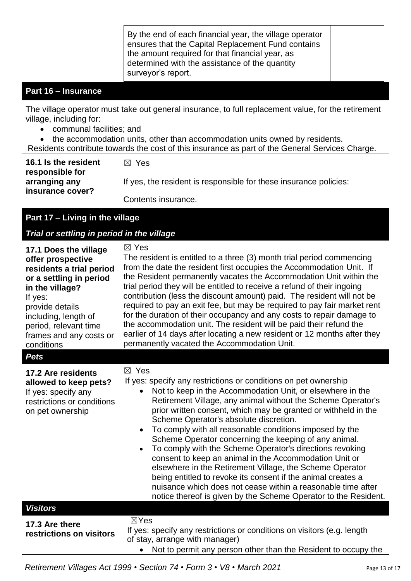| Part 16 - Insurance                                                                                                                                                                                                                                                                                                                                                                                        | By the end of each financial year, the village operator<br>ensures that the Capital Replacement Fund contains<br>the amount required for that financial year, as<br>determined with the assistance of the quantity<br>surveyor's report.                                                                                                                                                                                                                                                                                                                                                                                                                                                                                                                                                                                                           |  |  |  |
|------------------------------------------------------------------------------------------------------------------------------------------------------------------------------------------------------------------------------------------------------------------------------------------------------------------------------------------------------------------------------------------------------------|----------------------------------------------------------------------------------------------------------------------------------------------------------------------------------------------------------------------------------------------------------------------------------------------------------------------------------------------------------------------------------------------------------------------------------------------------------------------------------------------------------------------------------------------------------------------------------------------------------------------------------------------------------------------------------------------------------------------------------------------------------------------------------------------------------------------------------------------------|--|--|--|
| The village operator must take out general insurance, to full replacement value, for the retirement<br>village, including for:<br>communal facilities; and<br>the accommodation units, other than accommodation units owned by residents.<br>Residents contribute towards the cost of this insurance as part of the General Services Charge.<br>16.1 Is the resident<br>$\boxtimes$ Yes<br>responsible for |                                                                                                                                                                                                                                                                                                                                                                                                                                                                                                                                                                                                                                                                                                                                                                                                                                                    |  |  |  |
| arranging any<br>insurance cover?                                                                                                                                                                                                                                                                                                                                                                          | If yes, the resident is responsible for these insurance policies:<br>Contents insurance.                                                                                                                                                                                                                                                                                                                                                                                                                                                                                                                                                                                                                                                                                                                                                           |  |  |  |
| Part 17 - Living in the village<br>Trial or settling in period in the village                                                                                                                                                                                                                                                                                                                              |                                                                                                                                                                                                                                                                                                                                                                                                                                                                                                                                                                                                                                                                                                                                                                                                                                                    |  |  |  |
| 17.1 Does the village<br>offer prospective<br>residents a trial period<br>or a settling in period<br>in the village?<br>If yes:<br>provide details<br>including, length of<br>period, relevant time<br>frames and any costs or<br>conditions                                                                                                                                                               | $\boxtimes$ Yes<br>The resident is entitled to a three (3) month trial period commencing<br>from the date the resident first occupies the Accommodation Unit. If<br>the Resident permanently vacates the Accommodation Unit within the<br>trial period they will be entitled to receive a refund of their ingoing<br>contribution (less the discount amount) paid. The resident will not be<br>required to pay an exit fee, but may be required to pay fair market rent<br>for the duration of their occupancy and any costs to repair damage to<br>the accommodation unit. The resident will be paid their refund the<br>earlier of 14 days after locating a new resident or 12 months after they<br>permanently vacated the Accommodation Unit.                                                                                                  |  |  |  |
| <b>Pets</b>                                                                                                                                                                                                                                                                                                                                                                                                |                                                                                                                                                                                                                                                                                                                                                                                                                                                                                                                                                                                                                                                                                                                                                                                                                                                    |  |  |  |
| 17.2 Are residents<br>allowed to keep pets?<br>If yes: specify any<br>restrictions or conditions<br>on pet ownership                                                                                                                                                                                                                                                                                       | $\boxtimes$ Yes<br>If yes: specify any restrictions or conditions on pet ownership<br>Not to keep in the Accommodation Unit, or elsewhere in the<br>Retirement Village, any animal without the Scheme Operator's<br>prior written consent, which may be granted or withheld in the<br>Scheme Operator's absolute discretion.<br>To comply with all reasonable conditions imposed by the<br>$\bullet$<br>Scheme Operator concerning the keeping of any animal.<br>To comply with the Scheme Operator's directions revoking<br>consent to keep an animal in the Accommodation Unit or<br>elsewhere in the Retirement Village, the Scheme Operator<br>being entitled to revoke its consent if the animal creates a<br>nuisance which does not cease within a reasonable time after<br>notice thereof is given by the Scheme Operator to the Resident. |  |  |  |
| <b>Visitors</b>                                                                                                                                                                                                                                                                                                                                                                                            |                                                                                                                                                                                                                                                                                                                                                                                                                                                                                                                                                                                                                                                                                                                                                                                                                                                    |  |  |  |
| 17.3 Are there<br>restrictions on visitors                                                                                                                                                                                                                                                                                                                                                                 | $\boxtimes$ Yes<br>If yes: specify any restrictions or conditions on visitors (e.g. length<br>of stay, arrange with manager)<br>Not to permit any person other than the Resident to occupy the                                                                                                                                                                                                                                                                                                                                                                                                                                                                                                                                                                                                                                                     |  |  |  |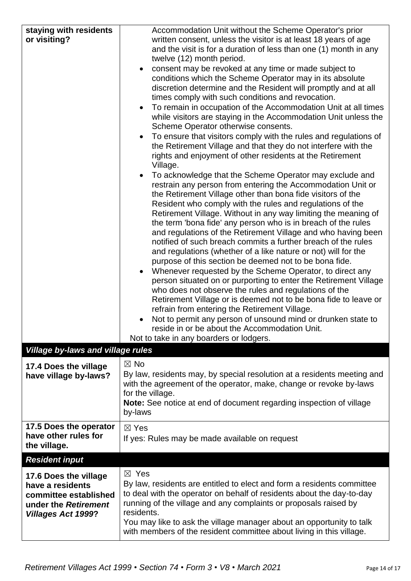| staying with residents<br>or visiting?                                                                                  | Accommodation Unit without the Scheme Operator's prior<br>written consent, unless the visitor is at least 18 years of age<br>and the visit is for a duration of less than one (1) month in any<br>twelve (12) month period.<br>consent may be revoked at any time or made subject to<br>conditions which the Scheme Operator may in its absolute<br>discretion determine and the Resident will promptly and at all<br>times comply with such conditions and revocation.<br>To remain in occupation of the Accommodation Unit at all times<br>while visitors are staying in the Accommodation Unit unless the<br>Scheme Operator otherwise consents.<br>To ensure that visitors comply with the rules and regulations of<br>the Retirement Village and that they do not interfere with the<br>rights and enjoyment of other residents at the Retirement<br>Village.<br>To acknowledge that the Scheme Operator may exclude and<br>restrain any person from entering the Accommodation Unit or<br>the Retirement Village other than bona fide visitors of the<br>Resident who comply with the rules and regulations of the<br>Retirement Village. Without in any way limiting the meaning of<br>the term 'bona fide' any person who is in breach of the rules<br>and regulations of the Retirement Village and who having been<br>notified of such breach commits a further breach of the rules<br>and regulations (whether of a like nature or not) will for the<br>purpose of this section be deemed not to be bona fide.<br>Whenever requested by the Scheme Operator, to direct any<br>$\bullet$<br>person situated on or purporting to enter the Retirement Village<br>who does not observe the rules and regulations of the<br>Retirement Village or is deemed not to be bona fide to leave or<br>refrain from entering the Retirement Village.<br>Not to permit any person of unsound mind or drunken state to |
|-------------------------------------------------------------------------------------------------------------------------|---------------------------------------------------------------------------------------------------------------------------------------------------------------------------------------------------------------------------------------------------------------------------------------------------------------------------------------------------------------------------------------------------------------------------------------------------------------------------------------------------------------------------------------------------------------------------------------------------------------------------------------------------------------------------------------------------------------------------------------------------------------------------------------------------------------------------------------------------------------------------------------------------------------------------------------------------------------------------------------------------------------------------------------------------------------------------------------------------------------------------------------------------------------------------------------------------------------------------------------------------------------------------------------------------------------------------------------------------------------------------------------------------------------------------------------------------------------------------------------------------------------------------------------------------------------------------------------------------------------------------------------------------------------------------------------------------------------------------------------------------------------------------------------------------------------------------------------------------------------------------------------------------------------------|
|                                                                                                                         | reside in or be about the Accommodation Unit.<br>Not to take in any boarders or lodgers.                                                                                                                                                                                                                                                                                                                                                                                                                                                                                                                                                                                                                                                                                                                                                                                                                                                                                                                                                                                                                                                                                                                                                                                                                                                                                                                                                                                                                                                                                                                                                                                                                                                                                                                                                                                                                            |
| <b>Village by-laws and village rules</b>                                                                                |                                                                                                                                                                                                                                                                                                                                                                                                                                                                                                                                                                                                                                                                                                                                                                                                                                                                                                                                                                                                                                                                                                                                                                                                                                                                                                                                                                                                                                                                                                                                                                                                                                                                                                                                                                                                                                                                                                                     |
| 17.4 Does the village<br>have village by-laws?                                                                          | $\boxtimes$ No<br>By law, residents may, by special resolution at a residents meeting and<br>with the agreement of the operator, make, change or revoke by-laws<br>for the village.<br>Note: See notice at end of document regarding inspection of village<br>by-laws                                                                                                                                                                                                                                                                                                                                                                                                                                                                                                                                                                                                                                                                                                                                                                                                                                                                                                                                                                                                                                                                                                                                                                                                                                                                                                                                                                                                                                                                                                                                                                                                                                               |
| 17.5 Does the operator<br>have other rules for<br>the village.                                                          | $\boxtimes$ Yes<br>If yes: Rules may be made available on request                                                                                                                                                                                                                                                                                                                                                                                                                                                                                                                                                                                                                                                                                                                                                                                                                                                                                                                                                                                                                                                                                                                                                                                                                                                                                                                                                                                                                                                                                                                                                                                                                                                                                                                                                                                                                                                   |
| <b>Resident input</b>                                                                                                   |                                                                                                                                                                                                                                                                                                                                                                                                                                                                                                                                                                                                                                                                                                                                                                                                                                                                                                                                                                                                                                                                                                                                                                                                                                                                                                                                                                                                                                                                                                                                                                                                                                                                                                                                                                                                                                                                                                                     |
| 17.6 Does the village<br>have a residents<br>committee established<br>under the Retirement<br><b>Villages Act 1999?</b> | $\boxtimes$ Yes<br>By law, residents are entitled to elect and form a residents committee<br>to deal with the operator on behalf of residents about the day-to-day<br>running of the village and any complaints or proposals raised by<br>residents.<br>You may like to ask the village manager about an opportunity to talk<br>with members of the resident committee about living in this village.                                                                                                                                                                                                                                                                                                                                                                                                                                                                                                                                                                                                                                                                                                                                                                                                                                                                                                                                                                                                                                                                                                                                                                                                                                                                                                                                                                                                                                                                                                                |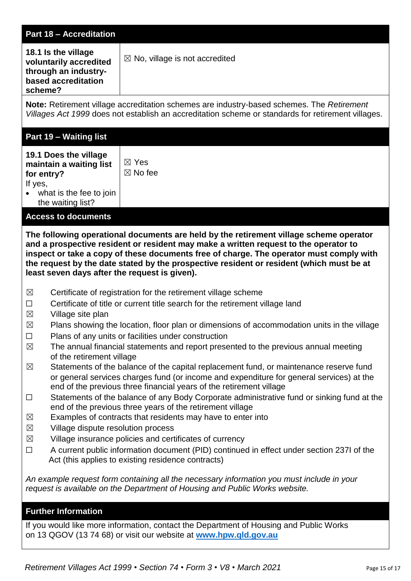| <b>Part 18 - Accreditation</b>                                                                                                                                                                                                                                                                                                                                                                                                                                                                                                                                                                                                                                                                                                                                                                                                                                                                                                                                                                                                                                                                                                                                                                                                                                                                                                                   |                                                                                        |  |  |  |
|--------------------------------------------------------------------------------------------------------------------------------------------------------------------------------------------------------------------------------------------------------------------------------------------------------------------------------------------------------------------------------------------------------------------------------------------------------------------------------------------------------------------------------------------------------------------------------------------------------------------------------------------------------------------------------------------------------------------------------------------------------------------------------------------------------------------------------------------------------------------------------------------------------------------------------------------------------------------------------------------------------------------------------------------------------------------------------------------------------------------------------------------------------------------------------------------------------------------------------------------------------------------------------------------------------------------------------------------------|----------------------------------------------------------------------------------------|--|--|--|
| 18.1 Is the village<br>voluntarily accredited<br>through an industry-<br>based accreditation<br>scheme?                                                                                                                                                                                                                                                                                                                                                                                                                                                                                                                                                                                                                                                                                                                                                                                                                                                                                                                                                                                                                                                                                                                                                                                                                                          | $\boxtimes$ No, village is not accredited                                              |  |  |  |
| Note: Retirement village accreditation schemes are industry-based schemes. The Retirement<br>Villages Act 1999 does not establish an accreditation scheme or standards for retirement villages.                                                                                                                                                                                                                                                                                                                                                                                                                                                                                                                                                                                                                                                                                                                                                                                                                                                                                                                                                                                                                                                                                                                                                  |                                                                                        |  |  |  |
| <b>Part 19 - Waiting list</b>                                                                                                                                                                                                                                                                                                                                                                                                                                                                                                                                                                                                                                                                                                                                                                                                                                                                                                                                                                                                                                                                                                                                                                                                                                                                                                                    |                                                                                        |  |  |  |
| 19.1 Does the village<br>maintain a waiting list<br>for entry?<br>If yes,<br>what is the fee to join<br>$\bullet$<br>the waiting list?                                                                                                                                                                                                                                                                                                                                                                                                                                                                                                                                                                                                                                                                                                                                                                                                                                                                                                                                                                                                                                                                                                                                                                                                           | $\boxtimes$ Yes<br>$\boxtimes$ No fee                                                  |  |  |  |
| <b>Access to documents</b>                                                                                                                                                                                                                                                                                                                                                                                                                                                                                                                                                                                                                                                                                                                                                                                                                                                                                                                                                                                                                                                                                                                                                                                                                                                                                                                       |                                                                                        |  |  |  |
| The following operational documents are held by the retirement village scheme operator<br>and a prospective resident or resident may make a written request to the operator to<br>inspect or take a copy of these documents free of charge. The operator must comply with<br>the request by the date stated by the prospective resident or resident (which must be at<br>least seven days after the request is given).                                                                                                                                                                                                                                                                                                                                                                                                                                                                                                                                                                                                                                                                                                                                                                                                                                                                                                                           |                                                                                        |  |  |  |
| $\boxtimes$<br>Certificate of registration for the retirement village scheme<br>Certificate of title or current title search for the retirement village land<br>$\Box$<br>$\boxtimes$<br>Village site plan<br>$\boxtimes$<br>Plans showing the location, floor plan or dimensions of accommodation units in the village<br>$\Box$<br>Plans of any units or facilities under construction<br>The annual financial statements and report presented to the previous annual meeting<br>$\boxtimes$<br>of the retirement village<br>Statements of the balance of the capital replacement fund, or maintenance reserve fund<br>$\boxtimes$<br>or general services charges fund (or income and expenditure for general services) at the<br>end of the previous three financial years of the retirement village<br>Statements of the balance of any Body Corporate administrative fund or sinking fund at the<br>$\Box$<br>end of the previous three years of the retirement village<br>Examples of contracts that residents may have to enter into<br>$\boxtimes$<br>Village dispute resolution process<br>$\times$<br>Village insurance policies and certificates of currency<br>$\times$<br>A current public information document (PID) continued in effect under section 237I of the<br>$\Box$<br>Act (this applies to existing residence contracts) |                                                                                        |  |  |  |
| An example request form containing all the necessary information you must include in your<br>request is available on the Department of Housing and Public Works website.                                                                                                                                                                                                                                                                                                                                                                                                                                                                                                                                                                                                                                                                                                                                                                                                                                                                                                                                                                                                                                                                                                                                                                         |                                                                                        |  |  |  |
| <b>Further Information</b>                                                                                                                                                                                                                                                                                                                                                                                                                                                                                                                                                                                                                                                                                                                                                                                                                                                                                                                                                                                                                                                                                                                                                                                                                                                                                                                       |                                                                                        |  |  |  |
|                                                                                                                                                                                                                                                                                                                                                                                                                                                                                                                                                                                                                                                                                                                                                                                                                                                                                                                                                                                                                                                                                                                                                                                                                                                                                                                                                  | If you would like more information, contact the Department of Housing and Public Works |  |  |  |

on 13 QGOV (13 74 68) or visit our website at **[www.hpw.qld.gov.au](http://www.hpw.qld.gov.au/)**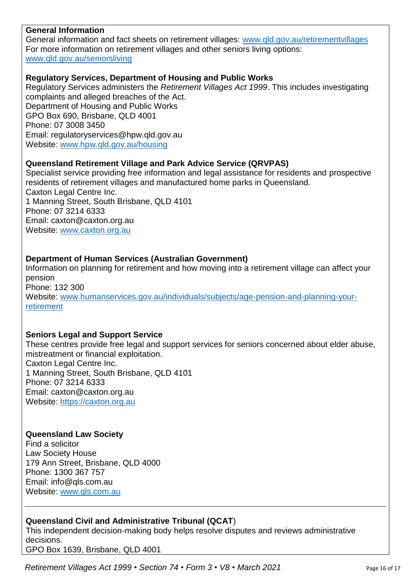#### **General Information**

General information and fact sheets on retirement villages: [www.qld.gov.au/retirementvillages](http://www.qld.gov.au/retirementvillages) For more information on retirement villages and other seniors living options: [www.qld.gov.au/seniorsliving](http://www.qld.gov.au/seniorsliving)

#### **Regulatory Services, Department of Housing and Public Works**

Regulatory Services administers the *Retirement Villages Act 1999*. This includes investigating complaints and alleged breaches of the Act. Department of Housing and Public Works GPO Box 690, Brisbane, QLD 4001 Phone: 07 3008 3450 Email: regulatoryservices@hpw.qld.gov.au Website: [www.hpw.qld.gov.au/housing](http://www.hpw.qld.gov.au/housing)

#### **Queensland Retirement Village and Park Advice Service (QRVPAS)**

Specialist service providing free information and legal assistance for residents and prospective residents of retirement villages and manufactured home parks in Queensland. Caxton Legal Centre Inc. 1 Manning Street, South Brisbane, QLD 4101 Phone: 07 3214 6333 Email: caxton@caxton.org.au Website: [www.caxton.org.au](http://www.caxton.org.au/)

#### **Department of Human Services (Australian Government)**

Information on planning for retirement and how moving into a retirement village can affect your pension Phone: 132 300 Website: [www.humanservices.gov.au/individuals/subjects/age-pension-and-planning-your](file:///C:/Users/juliet.gross/AppData/Roaming/Microsoft/Word/www.humanservices.gov.au/individuals/subjects/age-pension-and-planning-your-retirement)[retirement](file:///C:/Users/juliet.gross/AppData/Roaming/Microsoft/Word/www.humanservices.gov.au/individuals/subjects/age-pension-and-planning-your-retirement)

#### **Seniors Legal and Support Service**

These centres provide free legal and support services for seniors concerned about elder abuse, mistreatment or financial exploitation. Caxton Legal Centre Inc. 1 Manning Street, South Brisbane, QLD 4101 Phone: 07 3214 6333 Email: caxton@caxton.org.au Website: [https://caxton.org.au](https://caxton.org.au/)

#### **Queensland Law Society**

Find a solicitor Law Society House 179 Ann Street, Brisbane, QLD 4000 Phone: 1300 367 757 Email: info@gls.com.au Website: [www.qls.com.au](http://www.qls.com.au/)

## **Queensland Civil and Administrative Tribunal (QCAT**)

This independent decision-making body helps resolve disputes and reviews administrative decisions.

GPO Box 1639, Brisbane, QLD 4001